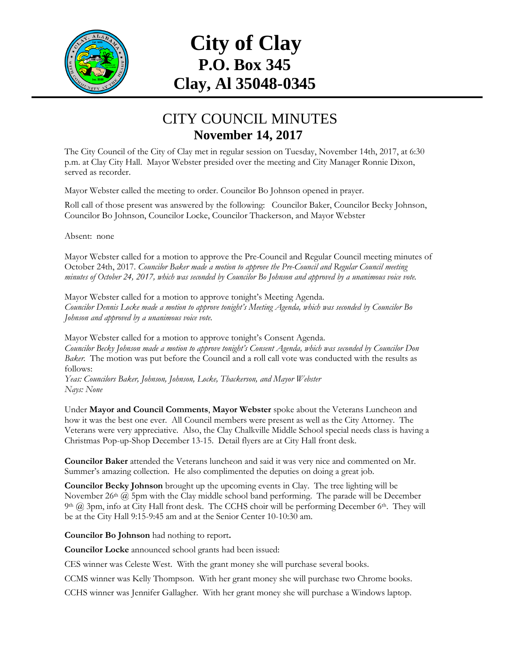

## **City of Clay P.O. Box 345 Clay, Al 35048-0345**

## CITY COUNCIL MINUTES **November 14, 2017**

The City Council of the City of Clay met in regular session on Tuesday, November 14th, 2017, at 6:30 p.m. at Clay City Hall. Mayor Webster presided over the meeting and City Manager Ronnie Dixon, served as recorder.

Mayor Webster called the meeting to order. Councilor Bo Johnson opened in prayer.

Roll call of those present was answered by the following: Councilor Baker, Councilor Becky Johnson, Councilor Bo Johnson, Councilor Locke, Councilor Thackerson, and Mayor Webster

Absent: none

Mayor Webster called for a motion to approve the Pre-Council and Regular Council meeting minutes of October 24th, 2017. *Councilor Baker made a motion to approve the Pre-Council and Regular Council meeting minutes of October 24, 2017, which was seconded by Councilor Bo Johnson and approved by a unanimous voice vote.*

Mayor Webster called for a motion to approve tonight's Meeting Agenda. *Councilor Dennis Locke made a motion to approve tonight's Meeting Agenda, which was seconded by Councilor Bo Johnson and approved by a unanimous voice vote.*

Mayor Webster called for a motion to approve tonight's Consent Agenda. *Councilor Becky Johnson made a motion to approve tonight's Consent Agenda, which was seconded by Councilor Don Baker.* The motion was put before the Council and a roll call vote was conducted with the results as follows:

*Yeas: Councilors Baker, Johnson, Johnson, Locke, Thackerson, and Mayor Webster Nays: None*

Under **Mayor and Council Comments**, **Mayor Webster** spoke about the Veterans Luncheon and how it was the best one ever. All Council members were present as well as the City Attorney. The Veterans were very appreciative. Also, the Clay Chalkville Middle School special needs class is having a Christmas Pop-up-Shop December 13-15. Detail flyers are at City Hall front desk.

**Councilor Baker** attended the Veterans luncheon and said it was very nice and commented on Mr. Summer's amazing collection. He also complimented the deputies on doing a great job.

**Councilor Becky Johnson** brought up the upcoming events in Clay. The tree lighting will be November 26<sup>th</sup> @ 5pm with the Clay middle school band performing. The parade will be December 9th @ 3pm, info at City Hall front desk. The CCHS choir will be performing December 6th. They will be at the City Hall 9:15-9:45 am and at the Senior Center 10-10:30 am.

**Councilor Bo Johnson** had nothing to report**.**

**Councilor Locke** announced school grants had been issued:

CES winner was Celeste West. With the grant money she will purchase several books.

CCMS winner was Kelly Thompson. With her grant money she will purchase two Chrome books.

CCHS winner was Jennifer Gallagher. With her grant money she will purchase a Windows laptop.